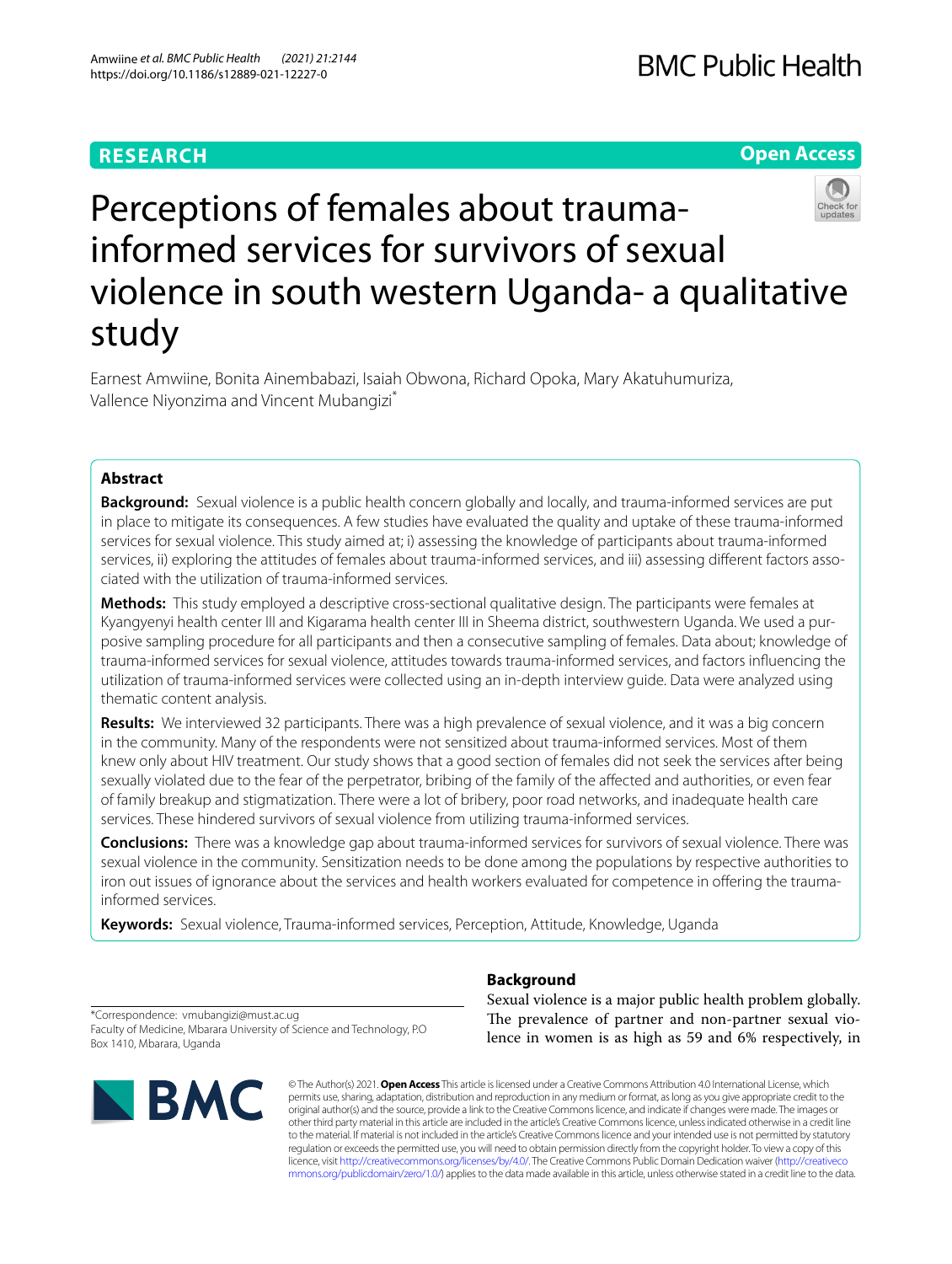# **RESEARCH**

# **Open Access**



# Perceptions of females about traumainformed services for survivors of sexual violence in south western Uganda- a qualitative study

Earnest Amwiine, Bonita Ainembabazi, Isaiah Obwona, Richard Opoka, Mary Akatuhumuriza, Vallence Niyonzima and Vincent Mubangizi\*

# **Abstract**

**Background:** Sexual violence is a public health concern globally and locally, and trauma-informed services are put in place to mitigate its consequences. A few studies have evaluated the quality and uptake of these trauma-informed services for sexual violence. This study aimed at; i) assessing the knowledge of participants about trauma-informed services, ii) exploring the attitudes of females about trauma-informed services, and iii) assessing diferent factors associated with the utilization of trauma-informed services.

**Methods:** This study employed a descriptive cross-sectional qualitative design. The participants were females at Kyangyenyi health center III and Kigarama health center III in Sheema district, southwestern Uganda. We used a purposive sampling procedure for all participants and then a consecutive sampling of females. Data about; knowledge of trauma-informed services for sexual violence, attitudes towards trauma-informed services, and factors infuencing the utilization of trauma-informed services were collected using an in-depth interview guide. Data were analyzed using thematic content analysis.

**Results:** We interviewed 32 participants. There was a high prevalence of sexual violence, and it was a big concern in the community. Many of the respondents were not sensitized about trauma-informed services. Most of them knew only about HIV treatment. Our study shows that a good section of females did not seek the services after being sexually violated due to the fear of the perpetrator, bribing of the family of the afected and authorities, or even fear of family breakup and stigmatization. There were a lot of bribery, poor road networks, and inadequate health care services. These hindered survivors of sexual violence from utilizing trauma-informed services.

**Conclusions:** There was a knowledge gap about trauma-informed services for survivors of sexual violence. There was sexual violence in the community. Sensitization needs to be done among the populations by respective authorities to iron out issues of ignorance about the services and health workers evaluated for competence in ofering the traumainformed services.

**Keywords:** Sexual violence, Trauma-informed services, Perception, Attitude, Knowledge, Uganda

# **Background**

\*Correspondence: vmubangizi@must.ac.ug Faculty of Medicine, Mbarara University of Science and Technology, P.O Box 1410, Mbarara, Uganda



Sexual violence is a major public health problem globally. The prevalence of partner and non-partner sexual violence in women is as high as 59 and 6% respectively, in

© The Author(s) 2021. **Open Access** This article is licensed under a Creative Commons Attribution 4.0 International License, which permits use, sharing, adaptation, distribution and reproduction in any medium or format, as long as you give appropriate credit to the original author(s) and the source, provide a link to the Creative Commons licence, and indicate if changes were made. The images or other third party material in this article are included in the article's Creative Commons licence, unless indicated otherwise in a credit line to the material. If material is not included in the article's Creative Commons licence and your intended use is not permitted by statutory regulation or exceeds the permitted use, you will need to obtain permission directly from the copyright holder. To view a copy of this licence, visit [http://creativecommons.org/licenses/by/4.0/.](http://creativecommons.org/licenses/by/4.0/) The Creative Commons Public Domain Dedication waiver ([http://creativeco](http://creativecommons.org/publicdomain/zero/1.0/) [mmons.org/publicdomain/zero/1.0/](http://creativecommons.org/publicdomain/zero/1.0/)) applies to the data made available in this article, unless otherwise stated in a credit line to the data.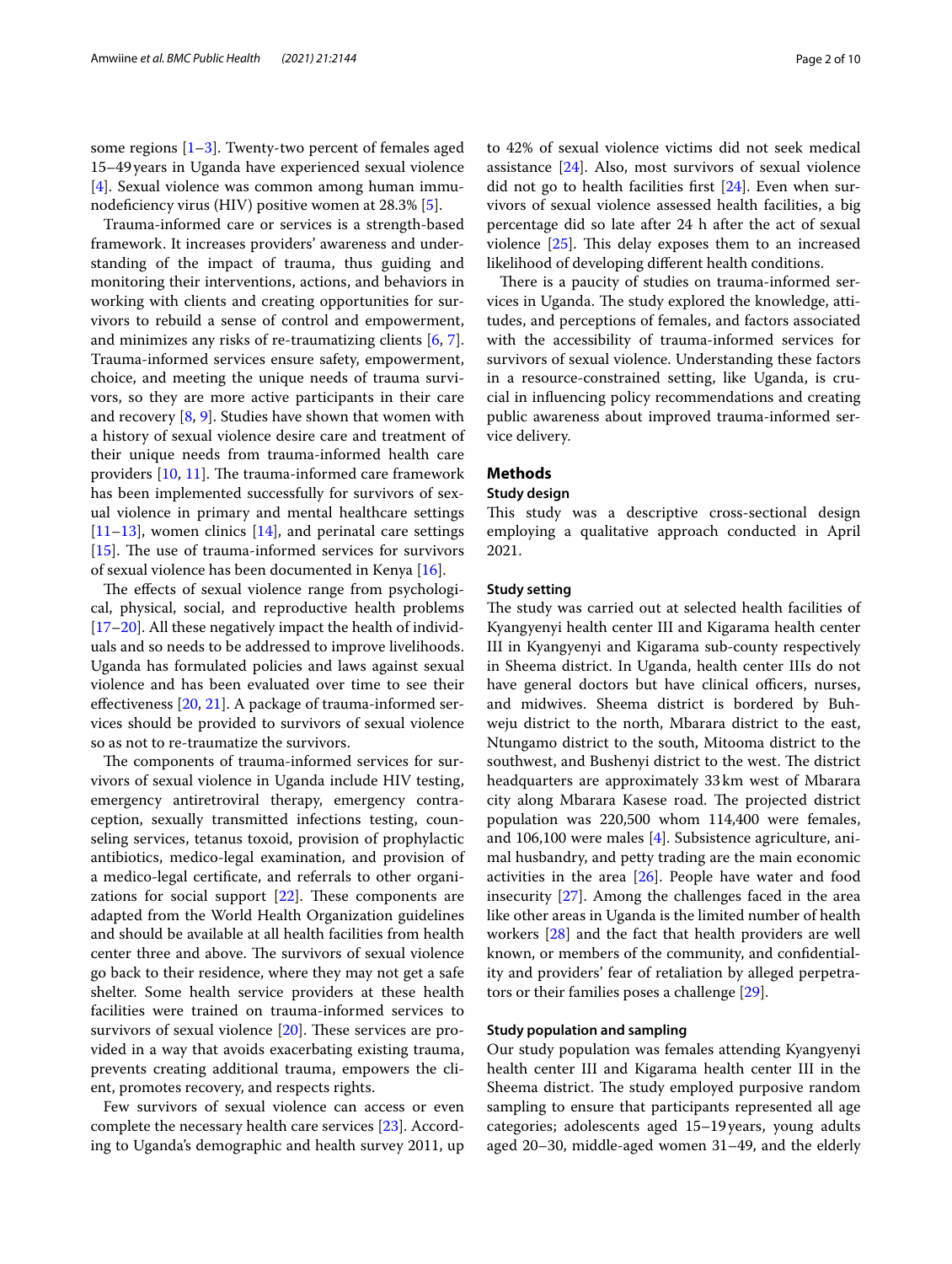some regions  $[1-3]$  $[1-3]$  $[1-3]$ . Twenty-two percent of females aged 15–49years in Uganda have experienced sexual violence [[4\]](#page-8-2). Sexual violence was common among human immu-nodeficiency virus (HIV) positive women at 28.3% [[5\]](#page-8-3).

Trauma-informed care or services is a strength-based framework. It increases providers' awareness and understanding of the impact of trauma, thus guiding and monitoring their interventions, actions, and behaviors in working with clients and creating opportunities for survivors to rebuild a sense of control and empowerment, and minimizes any risks of re-traumatizing clients [\[6](#page-9-0), [7](#page-9-1)]. Trauma-informed services ensure safety, empowerment, choice, and meeting the unique needs of trauma survivors, so they are more active participants in their care and recovery  $[8, 9]$  $[8, 9]$  $[8, 9]$  $[8, 9]$ . Studies have shown that women with a history of sexual violence desire care and treatment of their unique needs from trauma-informed health care providers  $[10, 11]$  $[10, 11]$  $[10, 11]$ . The trauma-informed care framework has been implemented successfully for survivors of sexual violence in primary and mental healthcare settings [[11–](#page-9-5)[13](#page-9-6)], women clinics [[14\]](#page-9-7), and perinatal care settings [[15\]](#page-9-8). The use of trauma-informed services for survivors of sexual violence has been documented in Kenya [[16\]](#page-9-9).

The effects of sexual violence range from psychological, physical, social, and reproductive health problems [[17–](#page-9-10)[20](#page-9-11)]. All these negatively impact the health of individuals and so needs to be addressed to improve livelihoods. Uganda has formulated policies and laws against sexual violence and has been evaluated over time to see their efectiveness [\[20,](#page-9-11) [21](#page-9-12)]. A package of trauma-informed services should be provided to survivors of sexual violence so as not to re-traumatize the survivors.

The components of trauma-informed services for survivors of sexual violence in Uganda include HIV testing, emergency antiretroviral therapy, emergency contraception, sexually transmitted infections testing, counseling services, tetanus toxoid, provision of prophylactic antibiotics, medico-legal examination, and provision of a medico-legal certifcate, and referrals to other organizations for social support  $[22]$  $[22]$  $[22]$ . These components are adapted from the World Health Organization guidelines and should be available at all health facilities from health center three and above. The survivors of sexual violence go back to their residence, where they may not get a safe shelter. Some health service providers at these health facilities were trained on trauma-informed services to survivors of sexual violence  $[20]$  $[20]$ . These services are provided in a way that avoids exacerbating existing trauma, prevents creating additional trauma, empowers the client, promotes recovery, and respects rights.

Few survivors of sexual violence can access or even complete the necessary health care services [[23](#page-9-14)]. According to Uganda's demographic and health survey 2011, up to 42% of sexual violence victims did not seek medical assistance [[24\]](#page-9-15). Also, most survivors of sexual violence did not go to health facilities frst [\[24](#page-9-15)]. Even when survivors of sexual violence assessed health facilities, a big percentage did so late after 24 h after the act of sexual violence  $[25]$  $[25]$ . This delay exposes them to an increased likelihood of developing diferent health conditions.

There is a paucity of studies on trauma-informed services in Uganda. The study explored the knowledge, attitudes, and perceptions of females, and factors associated with the accessibility of trauma-informed services for survivors of sexual violence. Understanding these factors in a resource-constrained setting, like Uganda, is crucial in infuencing policy recommendations and creating public awareness about improved trauma-informed service delivery.

# **Methods**

## **Study design**

This study was a descriptive cross-sectional design employing a qualitative approach conducted in April 2021.

# **Study setting**

The study was carried out at selected health facilities of Kyangyenyi health center III and Kigarama health center III in Kyangyenyi and Kigarama sub-county respectively in Sheema district. In Uganda, health center IIIs do not have general doctors but have clinical officers, nurses, and midwives. Sheema district is bordered by Buhweju district to the north, Mbarara district to the east, Ntungamo district to the south, Mitooma district to the southwest, and Bushenyi district to the west. The district headquarters are approximately 33km west of Mbarara city along Mbarara Kasese road. The projected district population was 220,500 whom 114,400 were females, and 106,100 were males [\[4\]](#page-8-2). Subsistence agriculture, animal husbandry, and petty trading are the main economic activities in the area [\[26](#page-9-17)]. People have water and food insecurity [\[27\]](#page-9-18). Among the challenges faced in the area like other areas in Uganda is the limited number of health workers [\[28\]](#page-9-19) and the fact that health providers are well known, or members of the community, and confdentiality and providers' fear of retaliation by alleged perpetrators or their families poses a challenge [[29\]](#page-9-20).

## **Study population and sampling**

Our study population was females attending Kyangyenyi health center III and Kigarama health center III in the Sheema district. The study employed purposive random sampling to ensure that participants represented all age categories; adolescents aged 15–19years, young adults aged 20–30, middle-aged women 31–49, and the elderly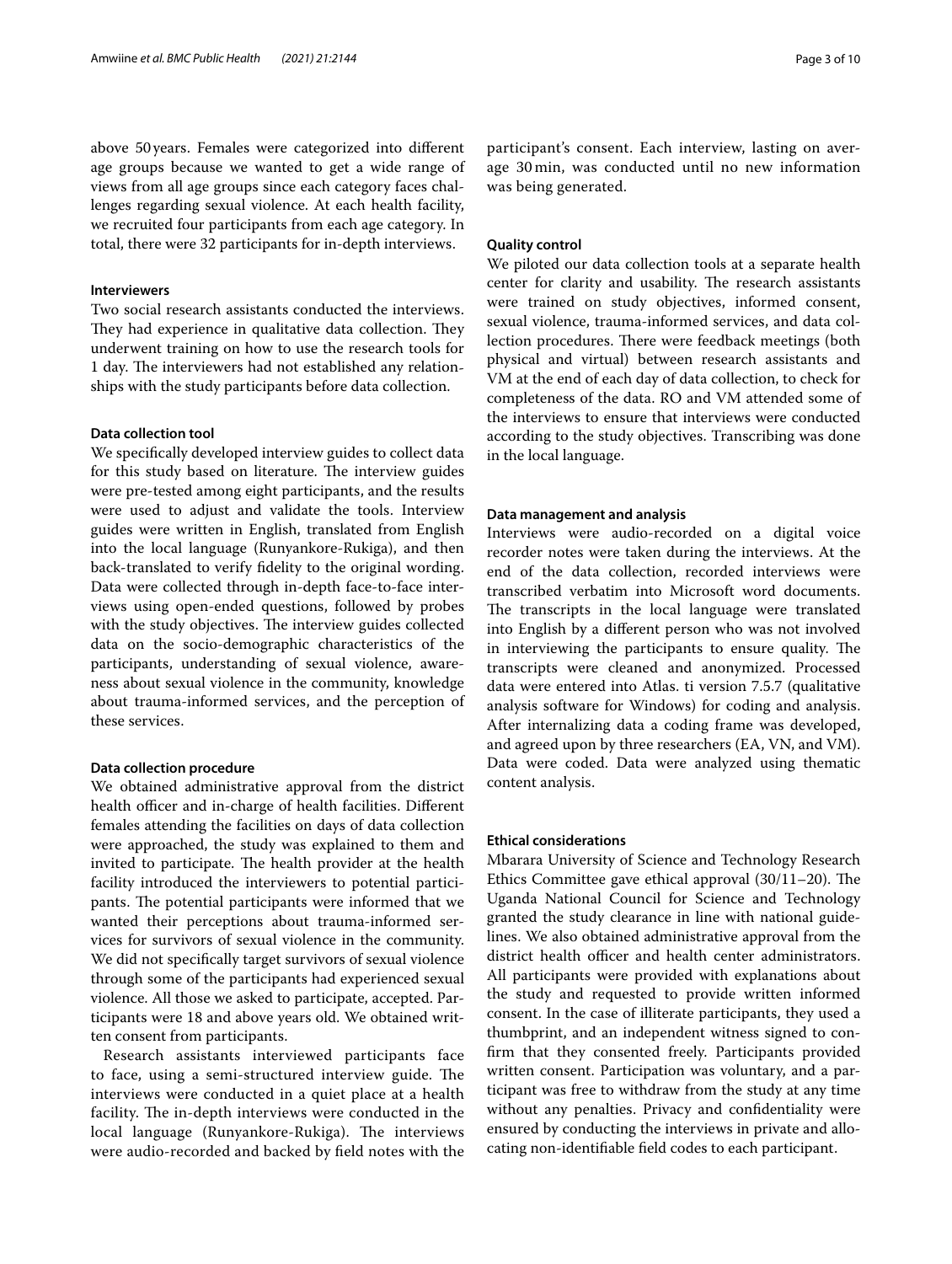above 50years. Females were categorized into diferent age groups because we wanted to get a wide range of views from all age groups since each category faces challenges regarding sexual violence. At each health facility, we recruited four participants from each age category. In total, there were 32 participants for in-depth interviews.

# **Interviewers**

Two social research assistants conducted the interviews. They had experience in qualitative data collection. They underwent training on how to use the research tools for 1 day. The interviewers had not established any relationships with the study participants before data collection.

# **Data collection tool**

We specifcally developed interview guides to collect data for this study based on literature. The interview guides were pre-tested among eight participants, and the results were used to adjust and validate the tools. Interview guides were written in English, translated from English into the local language (Runyankore-Rukiga), and then back-translated to verify fdelity to the original wording. Data were collected through in-depth face-to-face interviews using open-ended questions, followed by probes with the study objectives. The interview guides collected data on the socio-demographic characteristics of the participants, understanding of sexual violence, awareness about sexual violence in the community, knowledge about trauma-informed services, and the perception of these services.

# **Data collection procedure**

We obtained administrative approval from the district health officer and in-charge of health facilities. Different females attending the facilities on days of data collection were approached, the study was explained to them and invited to participate. The health provider at the health facility introduced the interviewers to potential participants. The potential participants were informed that we wanted their perceptions about trauma-informed services for survivors of sexual violence in the community. We did not specifcally target survivors of sexual violence through some of the participants had experienced sexual violence. All those we asked to participate, accepted. Participants were 18 and above years old. We obtained written consent from participants.

Research assistants interviewed participants face to face, using a semi-structured interview guide. The interviews were conducted in a quiet place at a health facility. The in-depth interviews were conducted in the local language (Runyankore-Rukiga). The interviews were audio-recorded and backed by feld notes with the participant's consent. Each interview, lasting on average 30 min, was conducted until no new information was being generated.

# **Quality control**

We piloted our data collection tools at a separate health center for clarity and usability. The research assistants were trained on study objectives, informed consent, sexual violence, trauma-informed services, and data collection procedures. There were feedback meetings (both physical and virtual) between research assistants and VM at the end of each day of data collection, to check for completeness of the data. RO and VM attended some of the interviews to ensure that interviews were conducted according to the study objectives. Transcribing was done in the local language.

## **Data management and analysis**

Interviews were audio-recorded on a digital voice recorder notes were taken during the interviews. At the end of the data collection, recorded interviews were transcribed verbatim into Microsoft word documents. The transcripts in the local language were translated into English by a diferent person who was not involved in interviewing the participants to ensure quality. The transcripts were cleaned and anonymized. Processed data were entered into Atlas. ti version 7.5.7 (qualitative analysis software for Windows) for coding and analysis. After internalizing data a coding frame was developed, and agreed upon by three researchers (EA, VN, and VM). Data were coded. Data were analyzed using thematic content analysis.

## **Ethical considerations**

Mbarara University of Science and Technology Research Ethics Committee gave ethical approval  $(30/11–20)$ . The Uganda National Council for Science and Technology granted the study clearance in line with national guidelines. We also obtained administrative approval from the district health officer and health center administrators. All participants were provided with explanations about the study and requested to provide written informed consent. In the case of illiterate participants, they used a thumbprint, and an independent witness signed to confrm that they consented freely. Participants provided written consent. Participation was voluntary, and a participant was free to withdraw from the study at any time without any penalties. Privacy and confidentiality were ensured by conducting the interviews in private and allocating non-identifable feld codes to each participant.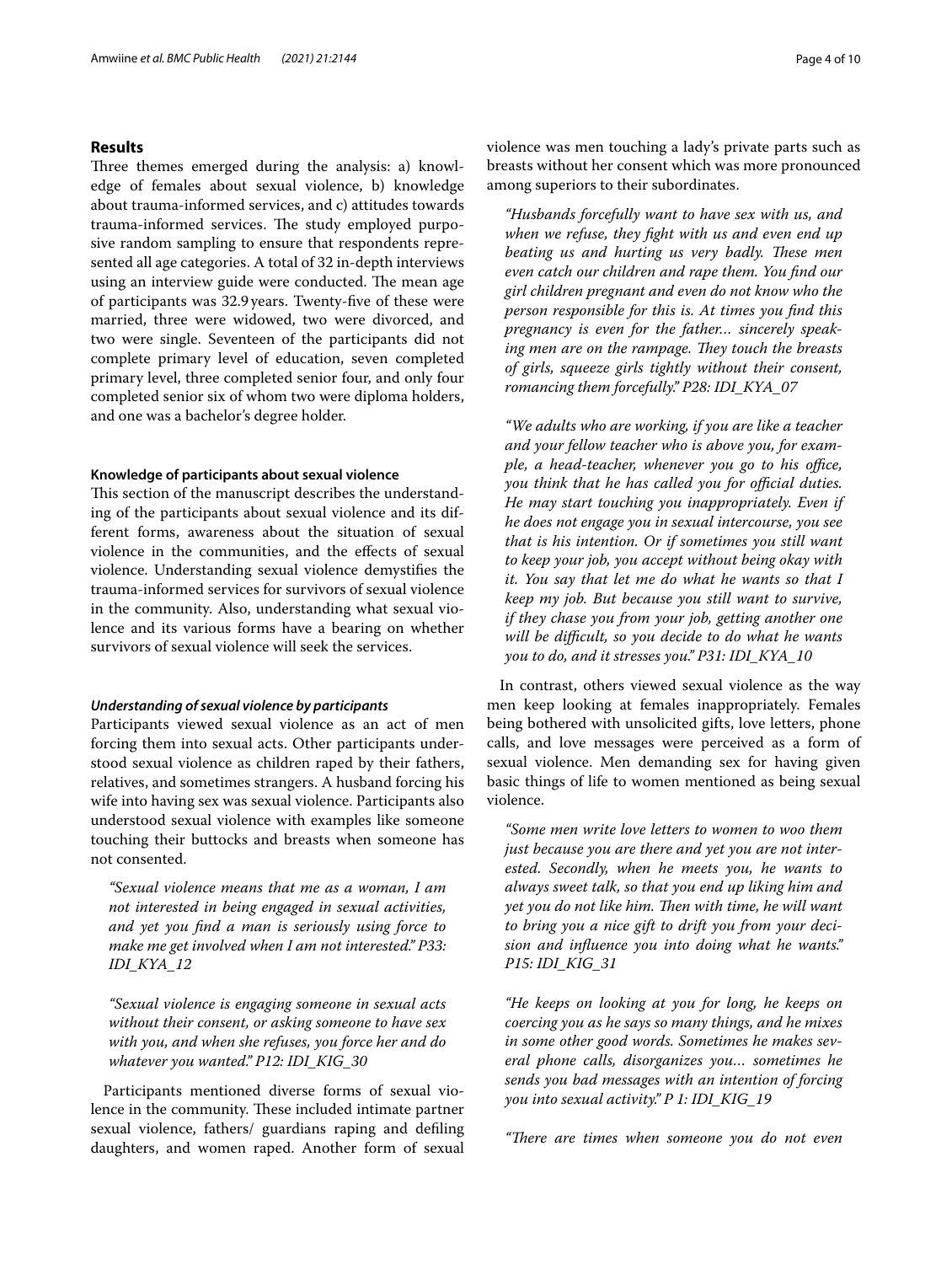# **Results**

Three themes emerged during the analysis: a) knowledge of females about sexual violence, b) knowledge about trauma-informed services, and c) attitudes towards trauma-informed services. The study employed purposive random sampling to ensure that respondents represented all age categories. A total of 32 in-depth interviews using an interview guide were conducted. The mean age of participants was 32.9years. Twenty-fve of these were married, three were widowed, two were divorced, and two were single. Seventeen of the participants did not complete primary level of education, seven completed primary level, three completed senior four, and only four completed senior six of whom two were diploma holders, and one was a bachelor's degree holder.

## **Knowledge of participants about sexual violence**

This section of the manuscript describes the understanding of the participants about sexual violence and its different forms, awareness about the situation of sexual violence in the communities, and the efects of sexual violence. Understanding sexual violence demystifes the trauma-informed services for survivors of sexual violence in the community. Also, understanding what sexual violence and its various forms have a bearing on whether survivors of sexual violence will seek the services.

## *Understanding of sexual violence by participants*

Participants viewed sexual violence as an act of men forcing them into sexual acts. Other participants understood sexual violence as children raped by their fathers, relatives, and sometimes strangers. A husband forcing his wife into having sex was sexual violence. Participants also understood sexual violence with examples like someone touching their buttocks and breasts when someone has not consented.

*"Sexual violence means that me as a woman, I am not interested in being engaged in sexual activities, and yet you fnd a man is seriously using force to make me get involved when I am not interested." P33: IDI\_KYA\_12*

*"Sexual violence is engaging someone in sexual acts without their consent, or asking someone to have sex with you, and when she refuses, you force her and do whatever you wanted." P12: IDI\_KIG\_30*

Participants mentioned diverse forms of sexual violence in the community. These included intimate partner sexual violence, fathers/ guardians raping and defling daughters, and women raped. Another form of sexual violence was men touching a lady's private parts such as breasts without her consent which was more pronounced among superiors to their subordinates.

*"Husbands forcefully want to have sex with us, and when we refuse, they fght with us and even end up beating us and hurting us very badly. These men even catch our children and rape them. You fnd our girl children pregnant and even do not know who the person responsible for this is. At times you fnd this pregnancy is even for the father… sincerely speaking men are on the rampage. They touch the breasts of girls, squeeze girls tightly without their consent, romancing them forcefully." P28: IDI\_KYA\_07*

*"We adults who are working, if you are like a teacher and your fellow teacher who is above you, for example, a head-teacher, whenever you go to his office, you think that he has called you for official duties. He may start touching you inappropriately. Even if he does not engage you in sexual intercourse, you see that is his intention. Or if sometimes you still want to keep your job, you accept without being okay with it. You say that let me do what he wants so that I keep my job. But because you still want to survive, if they chase you from your job, getting another one will be difcult, so you decide to do what he wants you to do, and it stresses you." P31: IDI\_KYA\_10*

In contrast, others viewed sexual violence as the way men keep looking at females inappropriately. Females being bothered with unsolicited gifts, love letters, phone calls, and love messages were perceived as a form of sexual violence. Men demanding sex for having given basic things of life to women mentioned as being sexual violence.

*"Some men write love letters to women to woo them just because you are there and yet you are not interested. Secondly, when he meets you, he wants to always sweet talk, so that you end up liking him and yet you do not like him. Then with time, he will want to bring you a nice gift to drift you from your decision and infuence you into doing what he wants." P15: IDI\_KIG\_31*

*"He keeps on looking at you for long, he keeps on coercing you as he says so many things, and he mixes in some other good words. Sometimes he makes several phone calls, disorganizes you… sometimes he sends you bad messages with an intention of forcing you into sexual activity." P 1: IDI\_KIG\_19*

*"Tere are times when someone you do not even*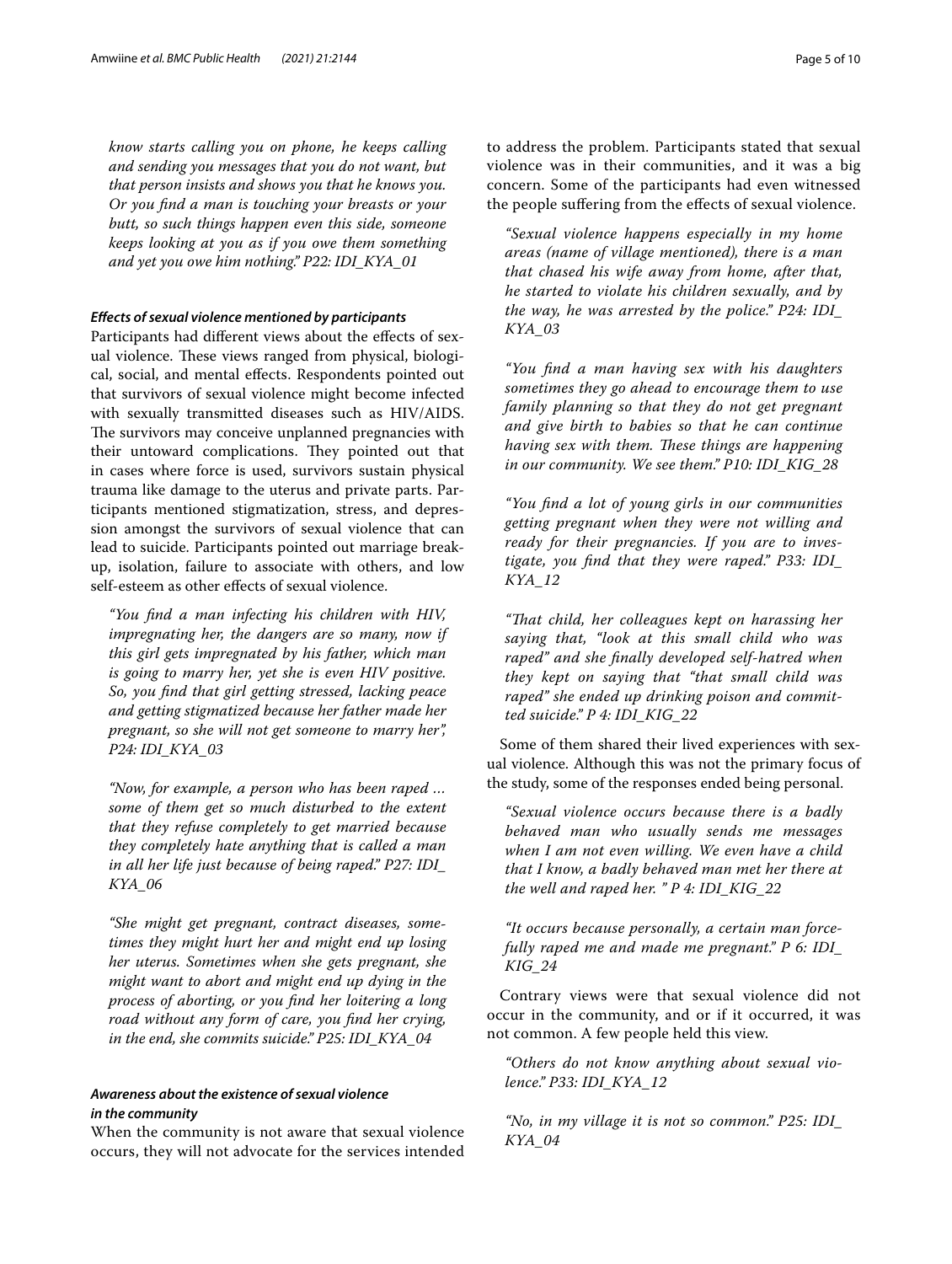*know starts calling you on phone, he keeps calling and sending you messages that you do not want, but that person insists and shows you that he knows you. Or you fnd a man is touching your breasts or your butt, so such things happen even this side, someone keeps looking at you as if you owe them something and yet you owe him nothing." P22: IDI\_KYA\_01*

# *Efects of sexual violence mentioned by participants*

Participants had different views about the effects of sexual violence. These views ranged from physical, biological, social, and mental efects. Respondents pointed out that survivors of sexual violence might become infected with sexually transmitted diseases such as HIV/AIDS. The survivors may conceive unplanned pregnancies with their untoward complications. They pointed out that in cases where force is used, survivors sustain physical trauma like damage to the uterus and private parts. Participants mentioned stigmatization, stress, and depression amongst the survivors of sexual violence that can lead to suicide. Participants pointed out marriage breakup, isolation, failure to associate with others, and low self-esteem as other efects of sexual violence.

*"You fnd a man infecting his children with HIV, impregnating her, the dangers are so many, now if this girl gets impregnated by his father, which man is going to marry her, yet she is even HIV positive. So, you fnd that girl getting stressed, lacking peace and getting stigmatized because her father made her pregnant, so she will not get someone to marry her", P24: IDI\_KYA\_03*

*"Now, for example, a person who has been raped … some of them get so much disturbed to the extent that they refuse completely to get married because they completely hate anything that is called a man in all her life just because of being raped." P27: IDI\_ KYA\_06*

*"She might get pregnant, contract diseases, sometimes they might hurt her and might end up losing her uterus. Sometimes when she gets pregnant, she might want to abort and might end up dying in the process of aborting, or you fnd her loitering a long road without any form of care, you fnd her crying, in the end, she commits suicide." P25: IDI\_KYA\_04*

# *Awareness about the existence of sexual violence in the community*

When the community is not aware that sexual violence occurs, they will not advocate for the services intended to address the problem. Participants stated that sexual violence was in their communities, and it was a big concern. Some of the participants had even witnessed the people sufering from the efects of sexual violence.

*"Sexual violence happens especially in my home areas (name of village mentioned), there is a man that chased his wife away from home, after that, he started to violate his children sexually, and by the way, he was arrested by the police." P24: IDI\_ KYA\_03*

*"You fnd a man having sex with his daughters sometimes they go ahead to encourage them to use family planning so that they do not get pregnant and give birth to babies so that he can continue having sex with them. These things are happening in our community. We see them." P10: IDI\_KIG\_28*

*"You fnd a lot of young girls in our communities getting pregnant when they were not willing and ready for their pregnancies. If you are to investigate, you fnd that they were raped." P33: IDI\_ KYA\_12*

*"Tat child, her colleagues kept on harassing her saying that, "look at this small child who was raped" and she fnally developed self-hatred when they kept on saying that "that small child was raped" she ended up drinking poison and committed suicide." P 4: IDI\_KIG\_22*

Some of them shared their lived experiences with sexual violence. Although this was not the primary focus of the study, some of the responses ended being personal.

*"Sexual violence occurs because there is a badly behaved man who usually sends me messages when I am not even willing. We even have a child that I know, a badly behaved man met her there at the well and raped her. " P 4: IDI\_KIG\_22*

*"It occurs because personally, a certain man forcefully raped me and made me pregnant." P 6: IDI\_ KIG\_24*

Contrary views were that sexual violence did not occur in the community, and or if it occurred, it was not common. A few people held this view.

*"Others do not know anything about sexual violence." P33: IDI\_KYA\_12*

*"No, in my village it is not so common." P25: IDI\_ KYA\_04*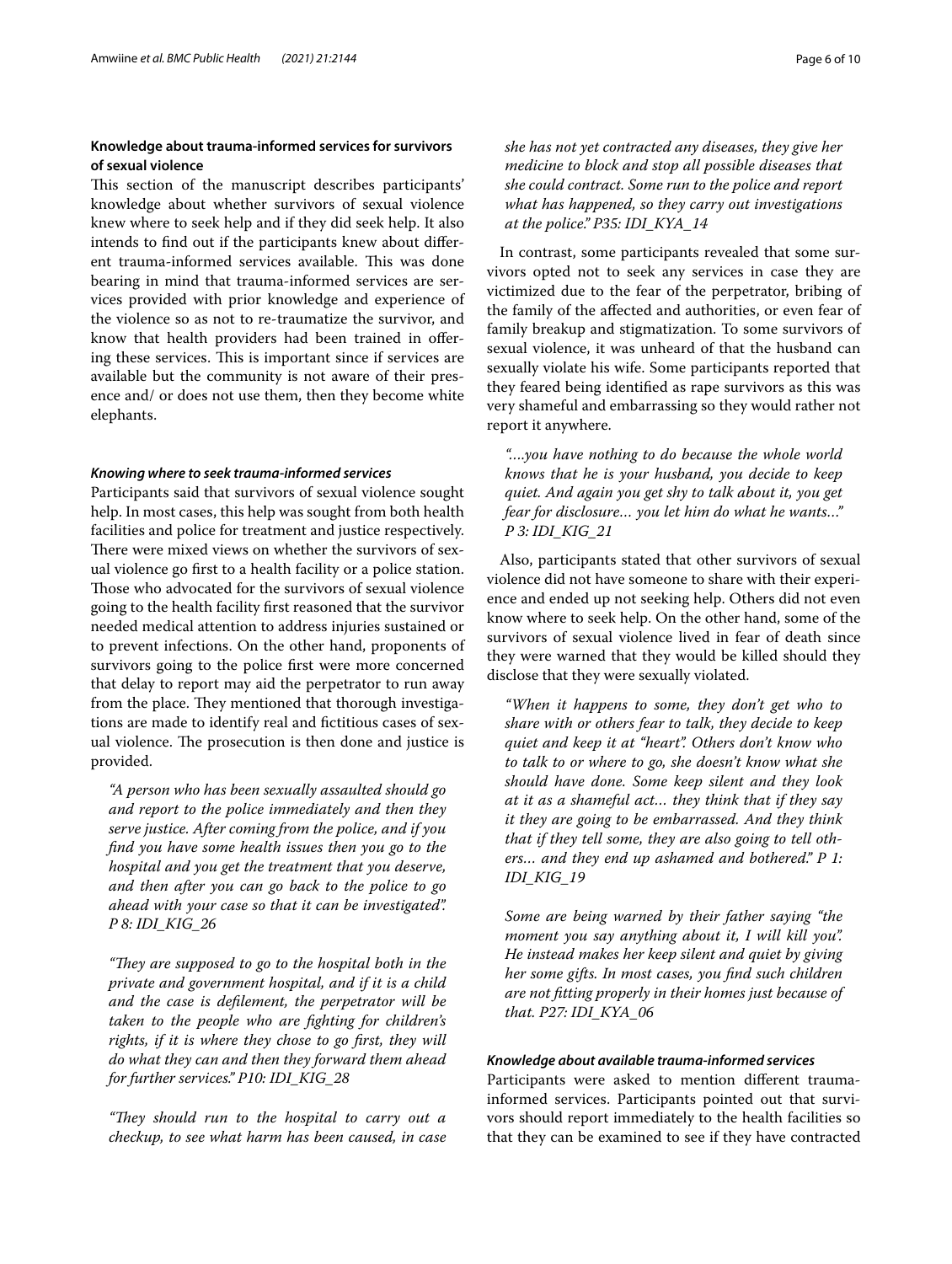# **Knowledge about trauma‑informed services for survivors of sexual violence**

This section of the manuscript describes participants' knowledge about whether survivors of sexual violence knew where to seek help and if they did seek help. It also intends to fnd out if the participants knew about diferent trauma-informed services available. This was done bearing in mind that trauma-informed services are services provided with prior knowledge and experience of the violence so as not to re-traumatize the survivor, and know that health providers had been trained in ofering these services. This is important since if services are available but the community is not aware of their presence and/ or does not use them, then they become white elephants.

## *Knowing where to seek trauma‑informed services*

Participants said that survivors of sexual violence sought help. In most cases, this help was sought from both health facilities and police for treatment and justice respectively. There were mixed views on whether the survivors of sexual violence go frst to a health facility or a police station. Those who advocated for the survivors of sexual violence going to the health facility frst reasoned that the survivor needed medical attention to address injuries sustained or to prevent infections. On the other hand, proponents of survivors going to the police frst were more concerned that delay to report may aid the perpetrator to run away from the place. They mentioned that thorough investigations are made to identify real and fictitious cases of sexual violence. The prosecution is then done and justice is provided.

*"A person who has been sexually assaulted should go and report to the police immediately and then they serve justice. After coming from the police, and if you fnd you have some health issues then you go to the hospital and you get the treatment that you deserve, and then after you can go back to the police to go ahead with your case so that it can be investigated". P 8: IDI\_KIG\_26*

*"They are supposed to go to the hospital both in the private and government hospital, and if it is a child and the case is deflement, the perpetrator will be taken to the people who are fghting for children's rights, if it is where they chose to go frst, they will do what they can and then they forward them ahead for further services." P10: IDI\_KIG\_28*

*"Tey should run to the hospital to carry out a checkup, to see what harm has been caused, in case* 

*she has not yet contracted any diseases, they give her medicine to block and stop all possible diseases that she could contract. Some run to the police and report what has happened, so they carry out investigations at the police." P35: IDI\_KYA\_14*

In contrast, some participants revealed that some survivors opted not to seek any services in case they are victimized due to the fear of the perpetrator, bribing of the family of the afected and authorities, or even fear of family breakup and stigmatization. To some survivors of sexual violence, it was unheard of that the husband can sexually violate his wife. Some participants reported that they feared being identifed as rape survivors as this was very shameful and embarrassing so they would rather not report it anywhere.

*"….you have nothing to do because the whole world knows that he is your husband, you decide to keep quiet. And again you get shy to talk about it, you get fear for disclosure… you let him do what he wants…" P 3: IDI\_KIG\_21*

Also, participants stated that other survivors of sexual violence did not have someone to share with their experience and ended up not seeking help. Others did not even know where to seek help. On the other hand, some of the survivors of sexual violence lived in fear of death since they were warned that they would be killed should they disclose that they were sexually violated.

*"When it happens to some, they don't get who to share with or others fear to talk, they decide to keep quiet and keep it at "heart". Others don't know who to talk to or where to go, she doesn't know what she should have done. Some keep silent and they look at it as a shameful act… they think that if they say it they are going to be embarrassed. And they think that if they tell some, they are also going to tell others… and they end up ashamed and bothered." P 1: IDI\_KIG\_19*

*Some are being warned by their father saying "the moment you say anything about it, I will kill you". He instead makes her keep silent and quiet by giving her some gifts. In most cases, you fnd such children are not ftting properly in their homes just because of that. P27: IDI\_KYA\_06*

# *Knowledge about available trauma‑informed services*

Participants were asked to mention diferent traumainformed services. Participants pointed out that survivors should report immediately to the health facilities so that they can be examined to see if they have contracted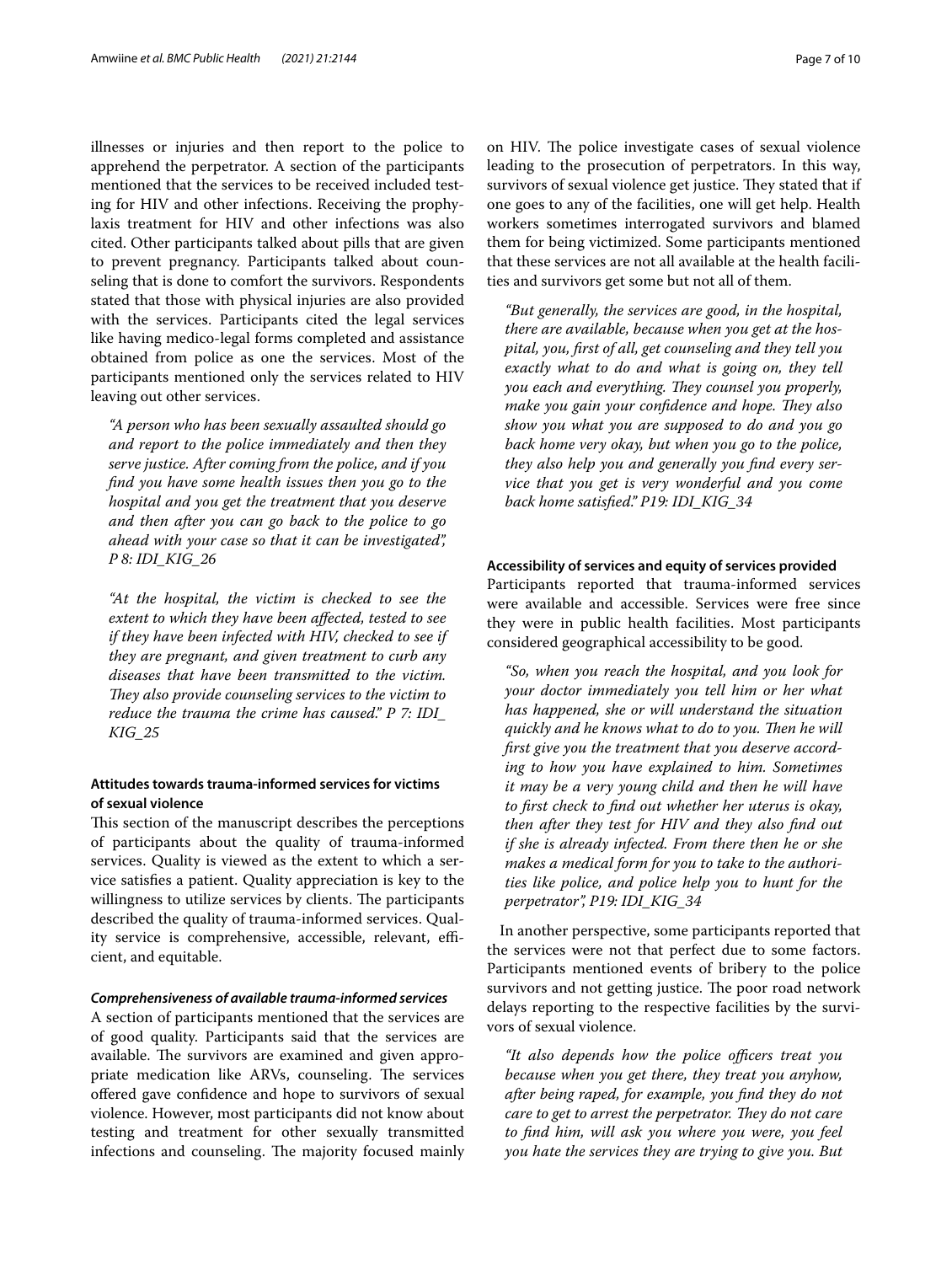illnesses or injuries and then report to the police to apprehend the perpetrator. A section of the participants mentioned that the services to be received included testing for HIV and other infections. Receiving the prophylaxis treatment for HIV and other infections was also cited. Other participants talked about pills that are given to prevent pregnancy. Participants talked about counseling that is done to comfort the survivors. Respondents stated that those with physical injuries are also provided with the services. Participants cited the legal services like having medico-legal forms completed and assistance obtained from police as one the services. Most of the participants mentioned only the services related to HIV leaving out other services.

*"A person who has been sexually assaulted should go and report to the police immediately and then they serve justice. After coming from the police, and if you fnd you have some health issues then you go to the hospital and you get the treatment that you deserve and then after you can go back to the police to go ahead with your case so that it can be investigated", P 8: IDI\_KIG\_26*

*"At the hospital, the victim is checked to see the extent to which they have been afected, tested to see if they have been infected with HIV, checked to see if they are pregnant, and given treatment to curb any diseases that have been transmitted to the victim.*  They also provide counseling services to the victim to *reduce the trauma the crime has caused." P 7: IDI\_ KIG\_25*

# **Attitudes towards trauma‑informed services for victims of sexual violence**

This section of the manuscript describes the perceptions of participants about the quality of trauma-informed services. Quality is viewed as the extent to which a service satisfes a patient. Quality appreciation is key to the willingness to utilize services by clients. The participants described the quality of trauma-informed services. Quality service is comprehensive, accessible, relevant, efficient, and equitable.

## *Comprehensiveness of available trauma‑informed services*

A section of participants mentioned that the services are of good quality. Participants said that the services are available. The survivors are examined and given appropriate medication like ARVs, counseling. The services ofered gave confdence and hope to survivors of sexual violence. However, most participants did not know about testing and treatment for other sexually transmitted infections and counseling. The majority focused mainly on HIV. The police investigate cases of sexual violence leading to the prosecution of perpetrators. In this way, survivors of sexual violence get justice. They stated that if one goes to any of the facilities, one will get help. Health workers sometimes interrogated survivors and blamed them for being victimized. Some participants mentioned that these services are not all available at the health facilities and survivors get some but not all of them.

*"But generally, the services are good, in the hospital, there are available, because when you get at the hospital, you, frst of all, get counseling and they tell you exactly what to do and what is going on, they tell you each and everything. They counsel you properly, make you gain your confidence and hope. They also show you what you are supposed to do and you go back home very okay, but when you go to the police, they also help you and generally you fnd every service that you get is very wonderful and you come back home satisfed." P19: IDI\_KIG\_34*

# **Accessibility of services and equity of services provided**

Participants reported that trauma-informed services were available and accessible. Services were free since they were in public health facilities. Most participants considered geographical accessibility to be good.

*"So, when you reach the hospital, and you look for your doctor immediately you tell him or her what has happened, she or will understand the situation quickly and he knows what to do to you. Then he will frst give you the treatment that you deserve according to how you have explained to him. Sometimes it may be a very young child and then he will have to frst check to fnd out whether her uterus is okay, then after they test for HIV and they also fnd out if she is already infected. From there then he or she makes a medical form for you to take to the authorities like police, and police help you to hunt for the perpetrator", P19: IDI\_KIG\_34*

In another perspective, some participants reported that the services were not that perfect due to some factors. Participants mentioned events of bribery to the police survivors and not getting justice. The poor road network delays reporting to the respective facilities by the survivors of sexual violence.

"It also depends how the police officers treat you *because when you get there, they treat you anyhow, after being raped, for example, you fnd they do not care to get to arrest the perpetrator. They do not care to fnd him, will ask you where you were, you feel you hate the services they are trying to give you. But*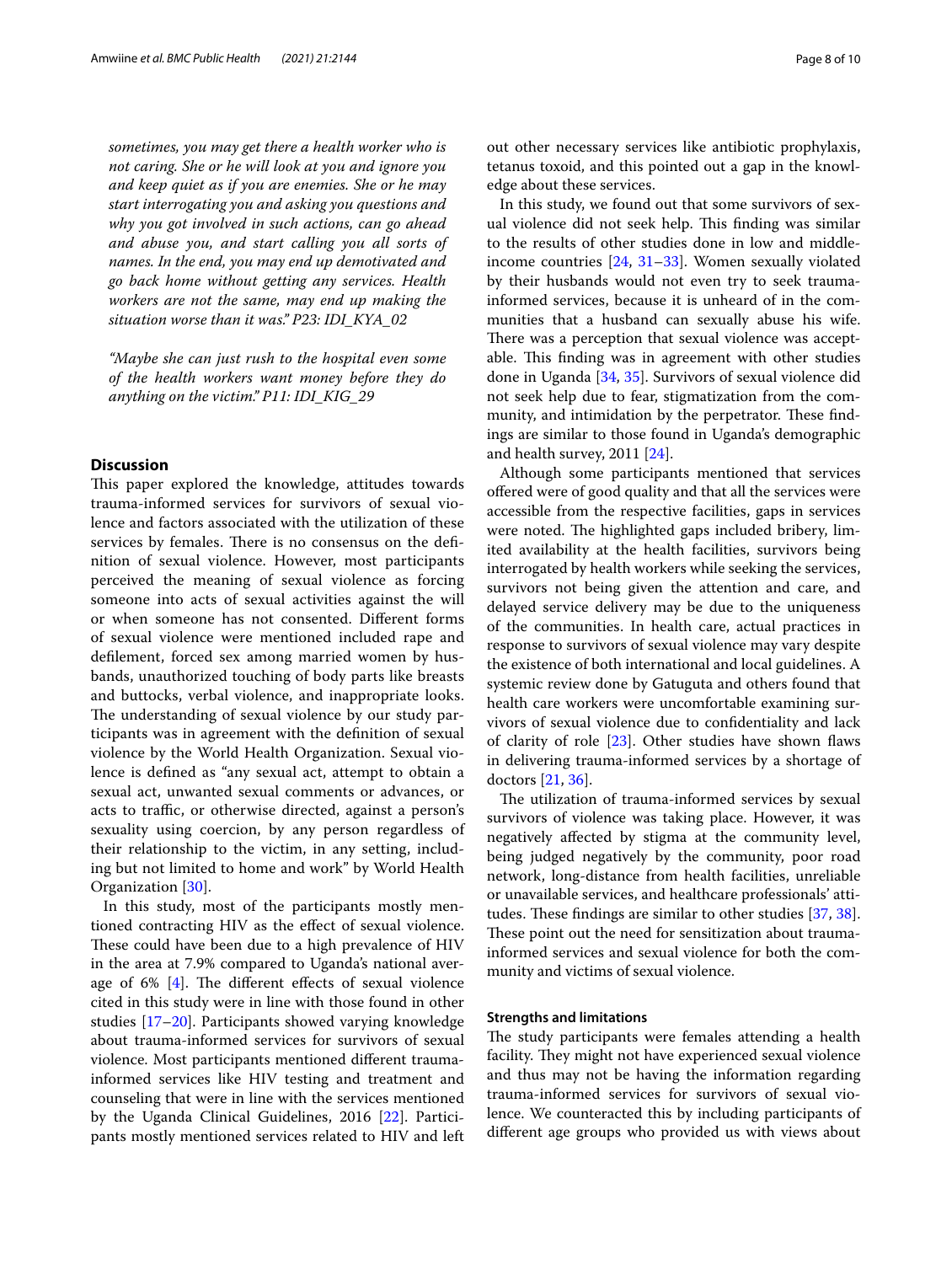*sometimes, you may get there a health worker who is not caring. She or he will look at you and ignore you and keep quiet as if you are enemies. She or he may start interrogating you and asking you questions and why you got involved in such actions, can go ahead and abuse you, and start calling you all sorts of names. In the end, you may end up demotivated and go back home without getting any services. Health workers are not the same, may end up making the situation worse than it was." P23: IDI\_KYA\_02*

*"Maybe she can just rush to the hospital even some of the health workers want money before they do anything on the victim." P11: IDI\_KIG\_29*

# **Discussion**

This paper explored the knowledge, attitudes towards trauma-informed services for survivors of sexual violence and factors associated with the utilization of these services by females. There is no consensus on the definition of sexual violence. However, most participants perceived the meaning of sexual violence as forcing someone into acts of sexual activities against the will or when someone has not consented. Diferent forms of sexual violence were mentioned included rape and deflement, forced sex among married women by husbands, unauthorized touching of body parts like breasts and buttocks, verbal violence, and inappropriate looks. The understanding of sexual violence by our study participants was in agreement with the defnition of sexual violence by the World Health Organization. Sexual violence is defned as "any sexual act, attempt to obtain a sexual act, unwanted sexual comments or advances, or acts to traffic, or otherwise directed, against a person's sexuality using coercion, by any person regardless of their relationship to the victim, in any setting, including but not limited to home and work" by World Health Organization [[30\]](#page-9-21).

In this study, most of the participants mostly mentioned contracting HIV as the efect of sexual violence. These could have been due to a high prevalence of HIV in the area at 7.9% compared to Uganda's national average of  $6\%$  [[4\]](#page-8-2). The different effects of sexual violence cited in this study were in line with those found in other studies [[17](#page-9-10)[–20](#page-9-11)]. Participants showed varying knowledge about trauma-informed services for survivors of sexual violence. Most participants mentioned diferent traumainformed services like HIV testing and treatment and counseling that were in line with the services mentioned by the Uganda Clinical Guidelines, 2016 [\[22\]](#page-9-13). Participants mostly mentioned services related to HIV and left out other necessary services like antibiotic prophylaxis, tetanus toxoid, and this pointed out a gap in the knowledge about these services.

In this study, we found out that some survivors of sexual violence did not seek help. This finding was similar to the results of other studies done in low and middleincome countries [[24](#page-9-15), [31](#page-9-22)[–33\]](#page-9-23). Women sexually violated by their husbands would not even try to seek traumainformed services, because it is unheard of in the communities that a husband can sexually abuse his wife. There was a perception that sexual violence was acceptable. This finding was in agreement with other studies done in Uganda [[34,](#page-9-24) [35\]](#page-9-25). Survivors of sexual violence did not seek help due to fear, stigmatization from the community, and intimidation by the perpetrator. These findings are similar to those found in Uganda's demographic and health survey, 2011 [\[24](#page-9-15)].

Although some participants mentioned that services ofered were of good quality and that all the services were accessible from the respective facilities, gaps in services were noted. The highlighted gaps included bribery, limited availability at the health facilities, survivors being interrogated by health workers while seeking the services, survivors not being given the attention and care, and delayed service delivery may be due to the uniqueness of the communities. In health care, actual practices in response to survivors of sexual violence may vary despite the existence of both international and local guidelines. A systemic review done by Gatuguta and others found that health care workers were uncomfortable examining survivors of sexual violence due to confdentiality and lack of clarity of role [[23\]](#page-9-14). Other studies have shown faws in delivering trauma-informed services by a shortage of doctors [\[21](#page-9-12), [36](#page-9-26)].

The utilization of trauma-informed services by sexual survivors of violence was taking place. However, it was negatively afected by stigma at the community level, being judged negatively by the community, poor road network, long-distance from health facilities, unreliable or unavailable services, and healthcare professionals' attitudes. These findings are similar to other studies  $[37, 38]$  $[37, 38]$  $[37, 38]$  $[37, 38]$ . These point out the need for sensitization about traumainformed services and sexual violence for both the community and victims of sexual violence.

# **Strengths and limitations**

The study participants were females attending a health facility. They might not have experienced sexual violence and thus may not be having the information regarding trauma-informed services for survivors of sexual violence. We counteracted this by including participants of diferent age groups who provided us with views about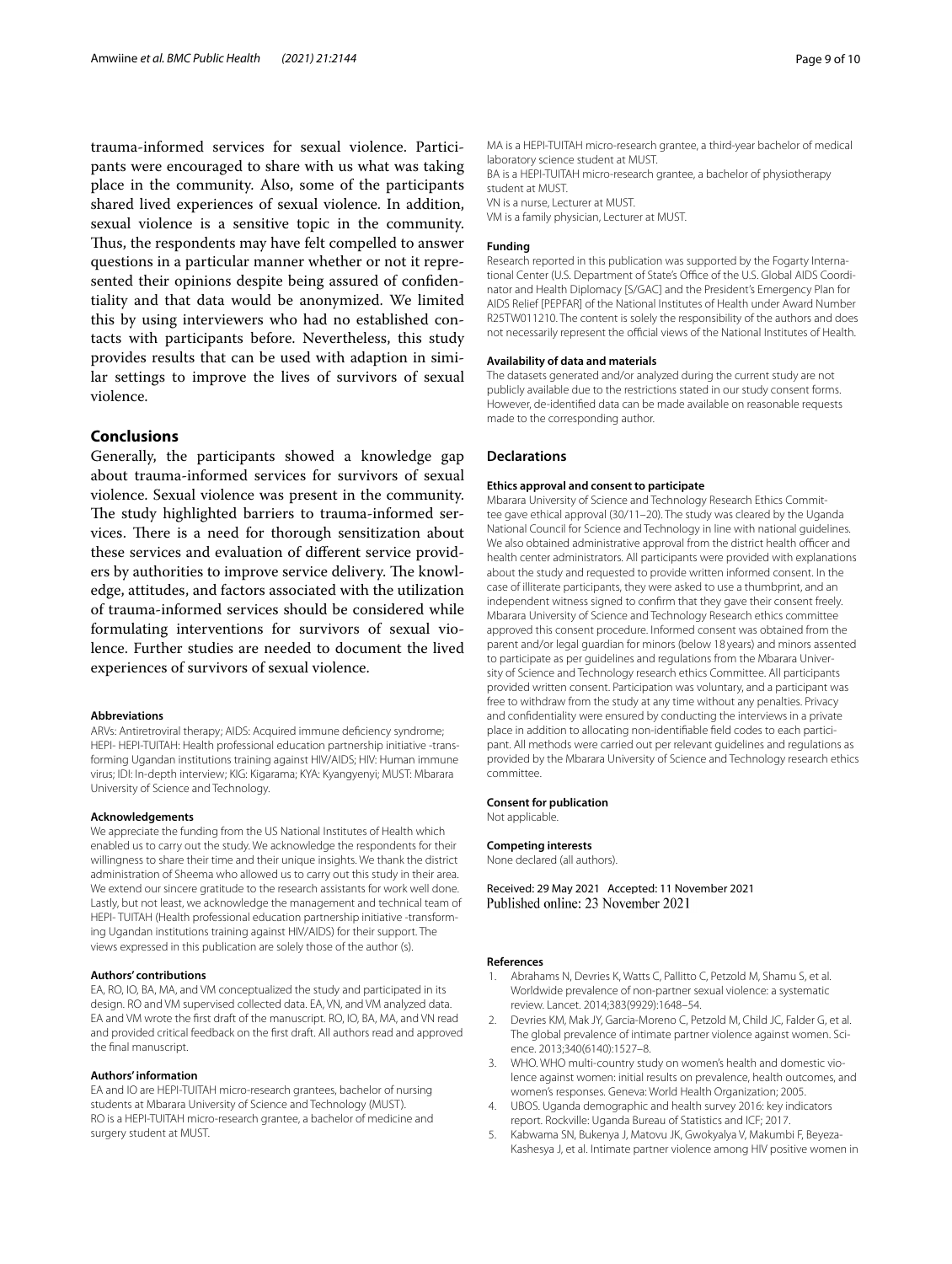trauma-informed services for sexual violence. Participants were encouraged to share with us what was taking place in the community. Also, some of the participants shared lived experiences of sexual violence. In addition, sexual violence is a sensitive topic in the community. Thus, the respondents may have felt compelled to answer questions in a particular manner whether or not it represented their opinions despite being assured of confdentiality and that data would be anonymized. We limited this by using interviewers who had no established contacts with participants before. Nevertheless, this study provides results that can be used with adaption in similar settings to improve the lives of survivors of sexual violence.

# **Conclusions**

Generally, the participants showed a knowledge gap about trauma-informed services for survivors of sexual violence. Sexual violence was present in the community. The study highlighted barriers to trauma-informed services. There is a need for thorough sensitization about these services and evaluation of diferent service providers by authorities to improve service delivery. The knowledge, attitudes, and factors associated with the utilization of trauma-informed services should be considered while formulating interventions for survivors of sexual violence. Further studies are needed to document the lived experiences of survivors of sexual violence.

## **Abbreviations**

ARVs: Antiretroviral therapy; AIDS: Acquired immune defciency syndrome; HEPI- HEPI-TUITAH: Health professional education partnership initiative -transforming Ugandan institutions training against HIV/AIDS; HIV: Human immune virus; IDI: In-depth interview; KIG: Kigarama; KYA: Kyangyenyi; MUST: Mbarara University of Science and Technology.

### **Acknowledgements**

We appreciate the funding from the US National Institutes of Health which enabled us to carry out the study. We acknowledge the respondents for their willingness to share their time and their unique insights. We thank the district administration of Sheema who allowed us to carry out this study in their area. We extend our sincere gratitude to the research assistants for work well done. Lastly, but not least, we acknowledge the management and technical team of HEPI- TUITAH (Health professional education partnership initiative -transforming Ugandan institutions training against HIV/AIDS) for their support. The views expressed in this publication are solely those of the author (s).

## **Authors' contributions**

EA, RO, IO, BA, MA, and VM conceptualized the study and participated in its design. RO and VM supervised collected data. EA, VN, and VM analyzed data. EA and VM wrote the frst draft of the manuscript. RO, IO, BA, MA, and VN read and provided critical feedback on the frst draft. All authors read and approved the fnal manuscript.

#### **Authors' information**

EA and IO are HEPI-TUITAH micro-research grantees, bachelor of nursing students at Mbarara University of Science and Technology (MUST). RO is a HEPI-TUITAH micro-research grantee, a bachelor of medicine and surgery student at MUST.

MA is a HEPI-TUITAH micro-research grantee, a third-year bachelor of medical laboratory science student at MUST.

BA is a HEPI-TUITAH micro-research grantee, a bachelor of physiotherapy student at MUST.

VN is a nurse, Lecturer at MUST.

VM is a family physician, Lecturer at MUST.

#### **Funding**

Research reported in this publication was supported by the Fogarty International Center (U.S. Department of State's Office of the U.S. Global AIDS Coordinator and Health Diplomacy [S/GAC] and the President's Emergency Plan for AIDS Relief [PEPFAR] of the National Institutes of Health under Award Number R25TW011210. The content is solely the responsibility of the authors and does not necessarily represent the official views of the National Institutes of Health.

#### **Availability of data and materials**

The datasets generated and/or analyzed during the current study are not publicly available due to the restrictions stated in our study consent forms. However, de-identifed data can be made available on reasonable requests made to the corresponding author.

# **Declarations**

## **Ethics approval and consent to participate**

Mbarara University of Science and Technology Research Ethics Committee gave ethical approval (30/11–20). The study was cleared by the Uganda National Council for Science and Technology in line with national guidelines. We also obtained administrative approval from the district health officer and health center administrators. All participants were provided with explanations about the study and requested to provide written informed consent. In the case of illiterate participants, they were asked to use a thumbprint, and an independent witness signed to confrm that they gave their consent freely. Mbarara University of Science and Technology Research ethics committee approved this consent procedure. Informed consent was obtained from the parent and/or legal guardian for minors (below 18 years) and minors assented to participate as per guidelines and regulations from the Mbarara University of Science and Technology research ethics Committee. All participants provided written consent. Participation was voluntary, and a participant was free to withdraw from the study at any time without any penalties. Privacy and confdentiality were ensured by conducting the interviews in a private place in addition to allocating non-identifable feld codes to each participant. All methods were carried out per relevant guidelines and regulations as provided by the Mbarara University of Science and Technology research ethics committee.

#### **Consent for publication**

Not applicable.

## **Competing interests**

None declared (all authors).

Received: 29 May 2021 Accepted: 11 November 2021 Published online: 23 November 2021

#### **References**

- <span id="page-8-0"></span>Abrahams N, Devries K, Watts C, Pallitto C, Petzold M, Shamu S, et al. Worldwide prevalence of non-partner sexual violence: a systematic review. Lancet. 2014;383(9929):1648–54.
- 2. Devries KM, Mak JY, Garcia-Moreno C, Petzold M, Child JC, Falder G, et al. The global prevalence of intimate partner violence against women. Science. 2013;340(6140):1527–8.
- <span id="page-8-1"></span>3. WHO. WHO multi-country study on women's health and domestic violence against women: initial results on prevalence, health outcomes, and women's responses. Geneva: World Health Organization; 2005.
- <span id="page-8-2"></span>4. UBOS. Uganda demographic and health survey 2016: key indicators report. Rockville: Uganda Bureau of Statistics and ICF; 2017.
- <span id="page-8-3"></span>5. Kabwama SN, Bukenya J, Matovu JK, Gwokyalya V, Makumbi F, Beyeza-Kashesya J, et al. Intimate partner violence among HIV positive women in